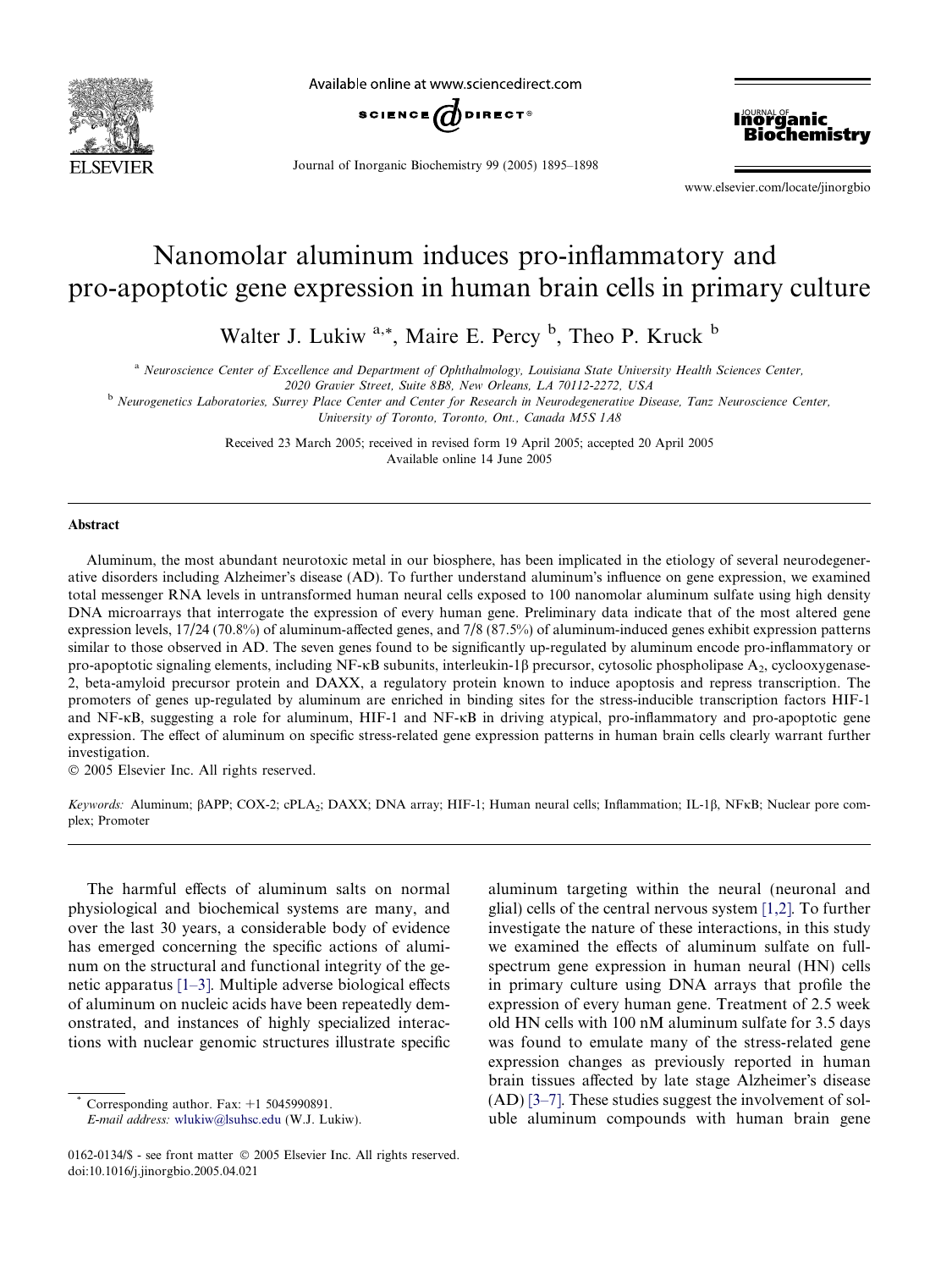

Available online at www.sciencedirect.com



Journal of Inorganic Biochemistry 99 (2005) 1895–1898



www.elsevier.com/locate/jinorgbio

# Nanomolar aluminum induces pro-inflammatory and pro-apoptotic gene expression in human brain cells in primary culture

Walter J. Lukiw<sup>a,\*</sup>, Maire E. Percy <sup>b</sup>, Theo P. Kruck <sup>b</sup>

<sup>a</sup> Neuroscience Center of Excellence and Department of Ophthalmology, Louisiana State University Health Sciences Center,

2020 Gravier Street, Suite 8B8, New Orleans, LA 70112-2272, USA

**b** Neurogenetics Laboratories, Surrey Place Center and Center for Research in Neurodegenerative Disease, Tanz Neuroscience Center, University of Toronto, Toronto, Ont., Canada M5S 1A8

> Received 23 March 2005; received in revised form 19 April 2005; accepted 20 April 2005 Available online 14 June 2005

### Abstract

Aluminum, the most abundant neurotoxic metal in our biosphere, has been implicated in the etiology of several neurodegenerative disorders including Alzheimer's disease (AD). To further understand aluminum's influence on gene expression, we examined total messenger RNA levels in untransformed human neural cells exposed to 100 nanomolar aluminum sulfate using high density DNA microarrays that interrogate the expression of every human gene. Preliminary data indicate that of the most altered gene expression levels, 17/24 (70.8%) of aluminum-affected genes, and 7/8 (87.5%) of aluminum-induced genes exhibit expression patterns similar to those observed in AD. The seven genes found to be significantly up-regulated by aluminum encode pro-inflammatory or pro-apoptotic signaling elements, including NF- $\kappa$ B subunits, interleukin-1 $\beta$  precursor, cytosolic phospholipase A<sub>2</sub>, cyclooxygenase-2, beta-amyloid precursor protein and DAXX, a regulatory protein known to induce apoptosis and repress transcription. The promoters of genes up-regulated by aluminum are enriched in binding sites for the stress-inducible transcription factors HIF-1 and  $NF-KB$ , suggesting a role for aluminum, HIF-1 and  $NF-KB$  in driving atypical, pro-inflammatory and pro-apoptotic gene expression. The effect of aluminum on specific stress-related gene expression patterns in human brain cells clearly warrant further investigation.

2005 Elsevier Inc. All rights reserved.

Keywords: Aluminum; BAPP; COX-2; cPLA<sub>2</sub>; DAXX; DNA array; HIF-1; Human neural cells; Inflammation; IL-1ß, NFKB; Nuclear pore complex; Promoter

The harmful effects of aluminum salts on normal physiological and biochemical systems are many, and over the last 30 years, a considerable body of evidence has emerged concerning the specific actions of aluminum on the structural and functional integrity of the genetic apparatus [\[1–3\]](#page-3-0). Multiple adverse biological effects of aluminum on nucleic acids have been repeatedly demonstrated, and instances of highly specialized interactions with nuclear genomic structures illustrate specific

aluminum targeting within the neural (neuronal and glial) cells of the central nervous system [\[1,2\].](#page-3-0) To further investigate the nature of these interactions, in this study we examined the effects of aluminum sulfate on fullspectrum gene expression in human neural (HN) cells in primary culture using DNA arrays that profile the expression of every human gene. Treatment of 2.5 week old HN cells with 100 nM aluminum sulfate for 3.5 days was found to emulate many of the stress-related gene expression changes as previously reported in human brain tissues affected by late stage Alzheimer's disease (AD) [\[3–7\].](#page-3-0) These studies suggest the involvement of soluble aluminum compounds with human brain gene

Corresponding author. Fax:  $+1$  5045990891.

E-mail address: [wlukiw@lsuhsc.edu](mailto:wlukiw@lsuhsc.edu) (W.J. Lukiw).

<sup>0162-0134/\$ -</sup> see front matter © 2005 Elsevier Inc. All rights reserved. doi:10.1016/j.jinorgbio.2005.04.021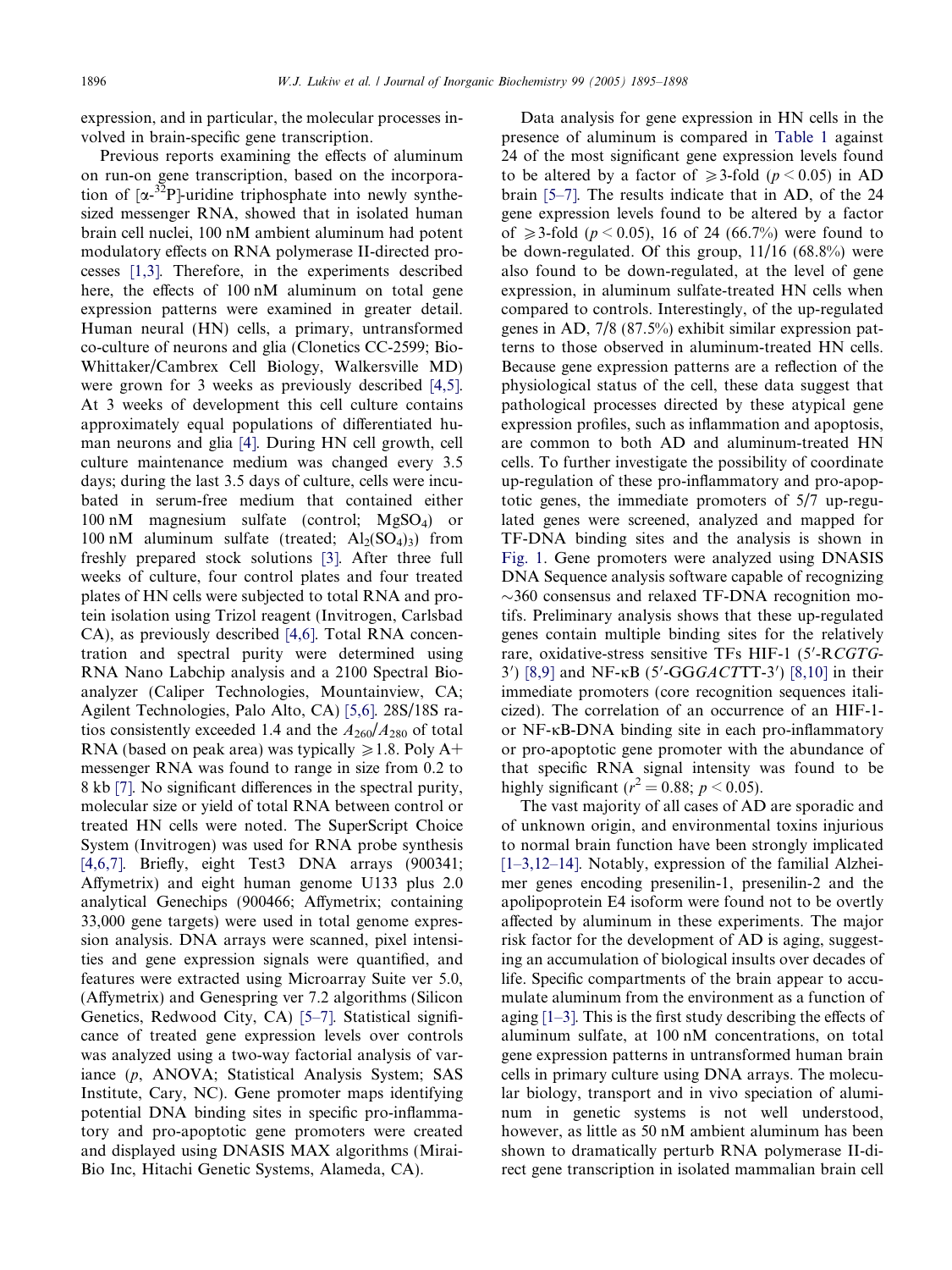expression, and in particular, the molecular processes involved in brain-specific gene transcription.

Previous reports examining the effects of aluminum on run-on gene transcription, based on the incorporation of  $[\alpha^{-32}P]$ -uridine triphosphate into newly synthesized messenger RNA, showed that in isolated human brain cell nuclei, 100 nM ambient aluminum had potent modulatory effects on RNA polymerase II-directed processes [\[1,3\]](#page-3-0). Therefore, in the experiments described here, the effects of 100 nM aluminum on total gene expression patterns were examined in greater detail. Human neural (HN) cells, a primary, untransformed co-culture of neurons and glia (Clonetics CC-2599; Bio-Whittaker/Cambrex Cell Biology, Walkersville MD) were grown for 3 weeks as previously described [\[4,5\]](#page-3-0). At 3 weeks of development this cell culture contains approximately equal populations of differentiated human neurons and glia [\[4\]](#page-3-0). During HN cell growth, cell culture maintenance medium was changed every 3.5 days; during the last 3.5 days of culture, cells were incubated in serum-free medium that contained either  $100 \text{ nM}$  magnesium sulfate (control;  $MgSO<sub>4</sub>$ ) or 100 nM aluminum sulfate (treated;  $Al_2(SO_4)_{3}$ ) from freshly prepared stock solutions [\[3\].](#page-3-0) After three full weeks of culture, four control plates and four treated plates of HN cells were subjected to total RNA and protein isolation using Trizol reagent (Invitrogen, Carlsbad CA), as previously described [\[4,6\].](#page-3-0) Total RNA concentration and spectral purity were determined using RNA Nano Labchip analysis and a 2100 Spectral Bioanalyzer (Caliper Technologies, Mountainview, CA; Agilent Technologies, Palo Alto, CA) [\[5,6\].](#page-3-0) 28S/18S ratios consistently exceeded 1.4 and the  $A_{260}/A_{280}$  of total RNA (based on peak area) was typically  $\geq 1.8$ . Poly A+ messenger RNA was found to range in size from 0.2 to 8 kb [\[7\]](#page-3-0). No significant differences in the spectral purity, molecular size or yield of total RNA between control or treated HN cells were noted. The SuperScript Choice System (Invitrogen) was used for RNA probe synthesis [\[4,6,7\]](#page-3-0). Briefly, eight Test3 DNA arrays (900341; Affymetrix) and eight human genome U133 plus 2.0 analytical Genechips (900466; Affymetrix; containing 33,000 gene targets) were used in total genome expression analysis. DNA arrays were scanned, pixel intensities and gene expression signals were quantified, and features were extracted using Microarray Suite ver 5.0, (Affymetrix) and Genespring ver 7.2 algorithms (Silicon Genetics, Redwood City, CA) [\[5–7\]](#page-3-0). Statistical significance of treated gene expression levels over controls was analyzed using a two-way factorial analysis of variance (p, ANOVA; Statistical Analysis System; SAS Institute, Cary, NC). Gene promoter maps identifying potential DNA binding sites in specific pro-inflammatory and pro-apoptotic gene promoters were created and displayed using DNASIS MAX algorithms (Mirai-Bio Inc, Hitachi Genetic Systems, Alameda, CA).

Data analysis for gene expression in HN cells in the presence of aluminum is compared in [Table 1](#page-2-0) against 24 of the most significant gene expression levels found to be altered by a factor of  $\geq 3$ -fold (p < 0.05) in AD brain [\[5–7\].](#page-3-0) The results indicate that in AD, of the 24 gene expression levels found to be altered by a factor of  $\geq 3$ -fold (p < 0.05), 16 of 24 (66.7%) were found to be down-regulated. Of this group, 11/16 (68.8%) were also found to be down-regulated, at the level of gene expression, in aluminum sulfate-treated HN cells when compared to controls. Interestingly, of the up-regulated genes in AD, 7/8 (87.5%) exhibit similar expression patterns to those observed in aluminum-treated HN cells. Because gene expression patterns are a reflection of the physiological status of the cell, these data suggest that pathological processes directed by these atypical gene expression profiles, such as inflammation and apoptosis, are common to both AD and aluminum-treated HN cells. To further investigate the possibility of coordinate up-regulation of these pro-inflammatory and pro-apoptotic genes, the immediate promoters of 5/7 up-regulated genes were screened, analyzed and mapped for TF-DNA binding sites and the analysis is shown in [Fig. 1.](#page-2-0) Gene promoters were analyzed using DNASIS DNA Sequence analysis software capable of recognizing  $\sim$ 360 consensus and relaxed TF-DNA recognition motifs. Preliminary analysis shows that these up-regulated genes contain multiple binding sites for the relatively rare, oxidative-stress sensitive TFs HIF-1 (5'-RCGTG-3') [\[8,9\]](#page-3-0) and NF- $\kappa$ B (5'-GGGACTTT-3') [\[8,10\]](#page-3-0) in their immediate promoters (core recognition sequences italicized). The correlation of an occurrence of an HIF-1 or  $NF-\kappa B-DNA$  binding site in each pro-inflammatory or pro-apoptotic gene promoter with the abundance of that specific RNA signal intensity was found to be highly significant ( $r^2 = 0.88$ ;  $p < 0.05$ ).

The vast majority of all cases of AD are sporadic and of unknown origin, and environmental toxins injurious to normal brain function have been strongly implicated [\[1–3,12–14\].](#page-3-0) Notably, expression of the familial Alzheimer genes encoding presenilin-1, presenilin-2 and the apolipoprotein E4 isoform were found not to be overtly affected by aluminum in these experiments. The major risk factor for the development of AD is aging, suggesting an accumulation of biological insults over decades of life. Specific compartments of the brain appear to accumulate aluminum from the environment as a function of aging [\[1–3\].](#page-3-0) This is the first study describing the effects of aluminum sulfate, at 100 nM concentrations, on total gene expression patterns in untransformed human brain cells in primary culture using DNA arrays. The molecular biology, transport and in vivo speciation of aluminum in genetic systems is not well understood, however, as little as 50 nM ambient aluminum has been shown to dramatically perturb RNA polymerase II-direct gene transcription in isolated mammalian brain cell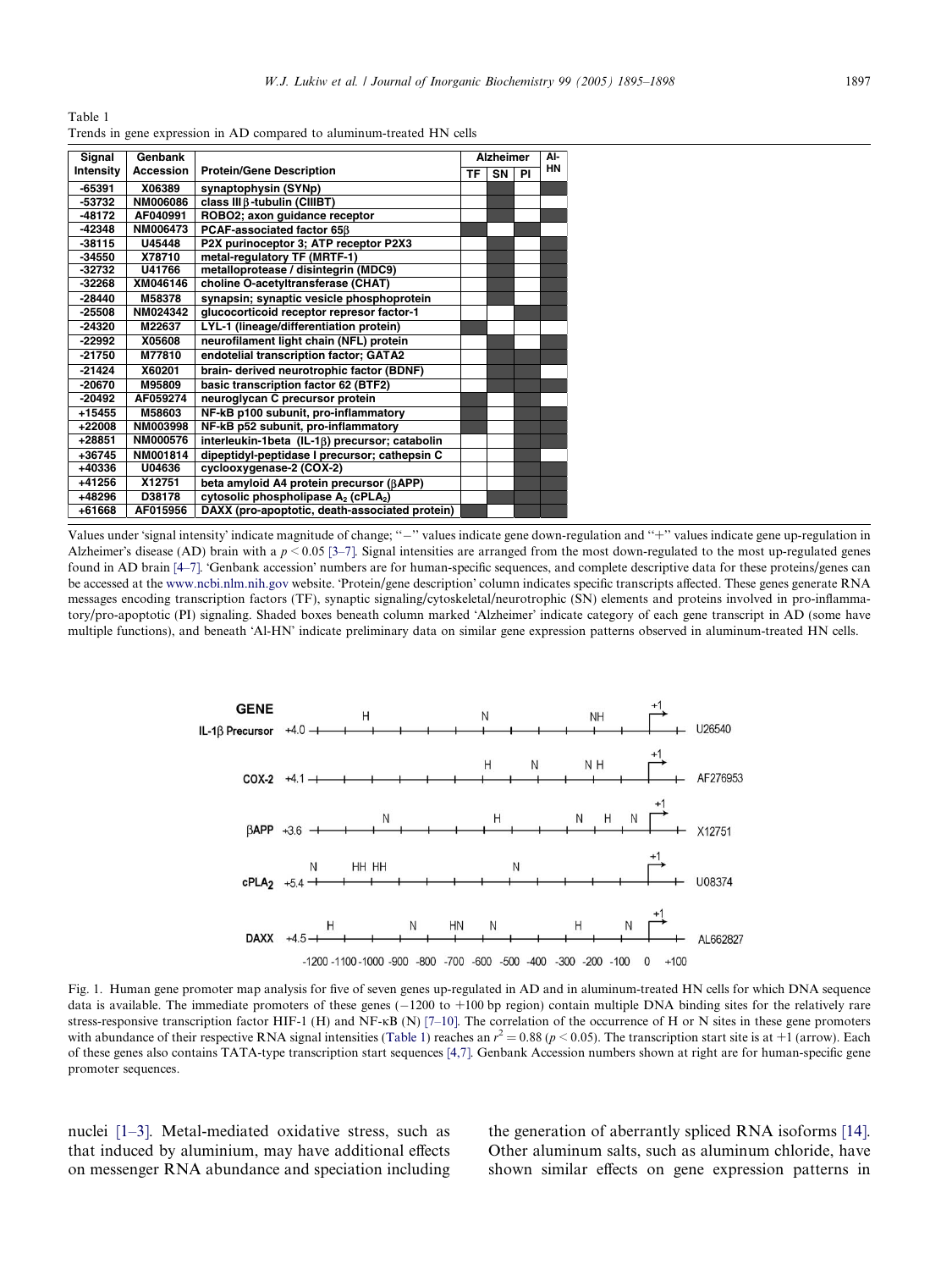<span id="page-2-0"></span>Table 1 Trends in gene expression in AD compared to aluminum-treated HN cells

| Signal           | Genbank          |                                                             | <b>Alzheimer</b> |    | AI- |           |
|------------------|------------------|-------------------------------------------------------------|------------------|----|-----|-----------|
| <b>Intensity</b> | <b>Accession</b> | <b>Protein/Gene Description</b>                             | TF               | SN | ΡI  | <b>HN</b> |
| -65391           | X06389           | synaptophysin (SYNp)                                        |                  |    |     |           |
| $-53732$         | NM006086         | class III B-tubulin (CIIIBT)                                |                  |    |     |           |
| $-48172$         | AF040991         | ROBO2; axon guidance receptor                               |                  |    |     |           |
| $-42348$         | NM006473         | PCAF-associated factor 65ß                                  |                  |    |     |           |
| $-38115$         | U45448           | P2X purinoceptor 3; ATP receptor P2X3                       |                  |    |     |           |
| $-34550$         | X78710           | metal-requiatory TF (MRTF-1)                                |                  |    |     |           |
| $-32732$         | U41766           | metalloprotease / disintegrin (MDC9)                        |                  |    |     |           |
| $-32268$         | XM046146         | choline O-acetyltransferase (CHAT)                          |                  |    |     |           |
| $-28440$         | M58378           | synapsin; synaptic vesicle phosphoprotein                   |                  |    |     |           |
| $-25508$         | NM024342         | glucocorticoid receptor represor factor-1                   |                  |    |     |           |
| $-24320$         | M22637           | LYL-1 (lineage/differentiation protein)                     |                  |    |     |           |
| $-22992$         | X05608           | neurofilament light chain (NFL) protein                     |                  |    |     |           |
| $-21750$         | M77810           | endotelial transcription factor; GATA2                      |                  |    |     |           |
| $-21424$         | X60201           | brain- derived neurotrophic factor (BDNF)                   |                  |    |     |           |
| $-20670$         | M95809           | basic transcription factor 62 (BTF2)                        |                  |    |     |           |
| $-20492$         | AF059274         | neuroglycan C precursor protein                             |                  |    |     |           |
| $+15455$         | M58603           | NF-kB p100 subunit, pro-inflammatory                        |                  |    |     |           |
| $+22008$         | NM003998         | NF-kB p52 subunit, pro-inflammatory                         |                  |    |     |           |
| $+28851$         | NM000576         | interleukin-1beta (IL-18) precursor; catabolin              |                  |    |     |           |
| $+36745$         | NM001814         | dipeptidyl-peptidase I precursor; cathepsin C               |                  |    |     |           |
| $+40336$         | U04636           | cyclooxygenase-2 (COX-2)                                    |                  |    |     |           |
| $+41256$         | X12751           | beta amyloid A4 protein precursor (BAPP)                    |                  |    |     |           |
| $+48296$         | D38178           | cytosolic phospholipase A <sub>2</sub> (cPLA <sub>2</sub> ) |                  |    |     |           |
| +61668           | AF015956         | DAXX (pro-apoptotic, death-associated protein)              |                  |    |     |           |

Values under 'signal intensity' indicate magnitude of change; "-" values indicate gene down-regulation and "+" values indicate gene up-regulation in Alzheimer's disease (AD) brain with a  $p \le 0.05$  [3-7]. Signal intensities are arranged from the most down-regulated to the most up-regulated genes found in AD brain [\[4–7\].](#page-3-0) 'Genbank accession' numbers are for human-specific sequences, and complete descriptive data for these proteins/genes can be accessed at the [www.ncbi.nlm.nih.gov](http://www.ncbi.nlm.nih.gov) website. 'Protein/gene description' column indicates specific transcripts affected. These genes generate RNA messages encoding transcription factors (TF), synaptic signaling/cytoskeletal/neurotrophic (SN) elements and proteins involved in pro-inflammatory/pro-apoptotic (PI) signaling. Shaded boxes beneath column marked 'Alzheimer' indicate category of each gene transcript in AD (some have multiple functions), and beneath 'Al-HN' indicate preliminary data on similar gene expression patterns observed in aluminum-treated HN cells.



Fig. 1. Human gene promoter map analysis for five of seven genes up-regulated in AD and in aluminum-treated HN cells for which DNA sequence data is available. The immediate promoters of these genes (-1200 to +100 bp region) contain multiple DNA binding sites for the relatively rare stress-responsive transcription factor HIF-1 (H) and NF- $\kappa$ B (N) [\[7–10\].](#page-3-0) The correlation of the occurrence of H or N sites in these gene promoters with abundance of their respective RNA signal intensities (Table 1) reaches an  $r^2 = 0.88$  ( $p < 0.05$ ). The transcription start site is at  $+1$  (arrow). Each of these genes also contains TATA-type transcription start sequences [\[4,7\]](#page-3-0). Genbank Accession numbers shown at right are for human-specific gene promoter sequences.

nuclei [\[1–3\]](#page-3-0). Metal-mediated oxidative stress, such as that induced by aluminium, may have additional effects on messenger RNA abundance and speciation including the generation of aberrantly spliced RNA isoforms [\[14\].](#page-3-0) Other aluminum salts, such as aluminum chloride, have shown similar effects on gene expression patterns in